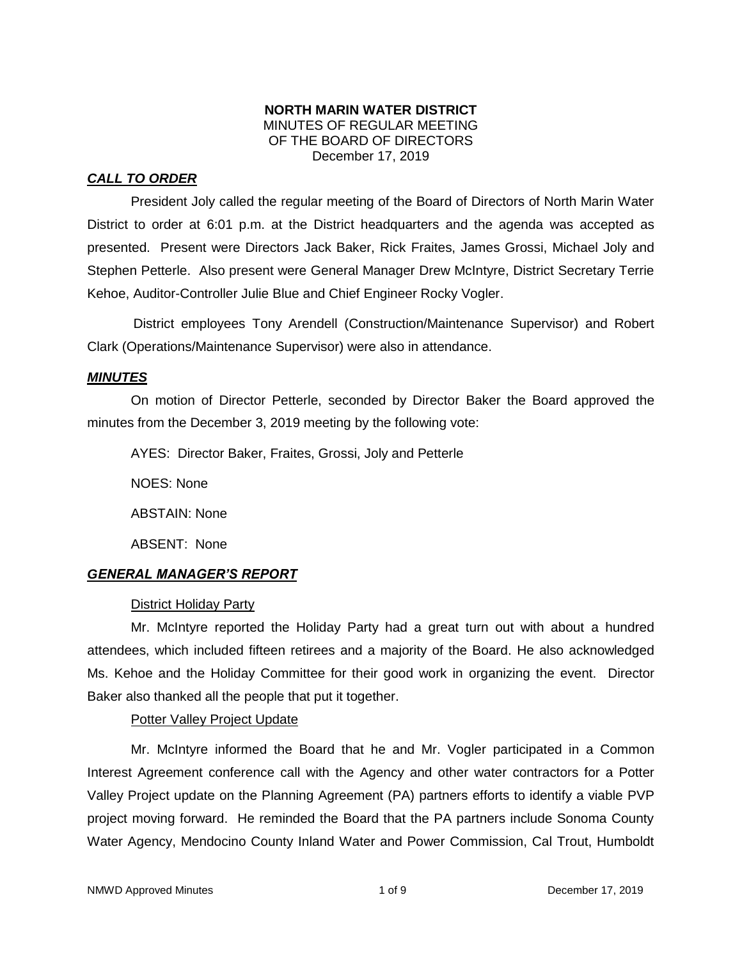## **NORTH MARIN WATER DISTRICT** MINUTES OF REGULAR MEETING OF THE BOARD OF DIRECTORS December 17, 2019

# *CALL TO ORDER*

President Joly called the regular meeting of the Board of Directors of North Marin Water District to order at 6:01 p.m. at the District headquarters and the agenda was accepted as presented. Present were Directors Jack Baker, Rick Fraites, James Grossi, Michael Joly and Stephen Petterle. Also present were General Manager Drew McIntyre, District Secretary Terrie Kehoe, Auditor-Controller Julie Blue and Chief Engineer Rocky Vogler.

District employees Tony Arendell (Construction/Maintenance Supervisor) and Robert Clark (Operations/Maintenance Supervisor) were also in attendance.

## *MINUTES*

On motion of Director Petterle, seconded by Director Baker the Board approved the minutes from the December 3, 2019 meeting by the following vote:

AYES: Director Baker, Fraites, Grossi, Joly and Petterle

NOES: None

ABSTAIN: None

ABSENT: None

# *GENERAL MANAGER'S REPORT*

# District Holiday Party

Mr. McIntyre reported the Holiday Party had a great turn out with about a hundred attendees, which included fifteen retirees and a majority of the Board. He also acknowledged Ms. Kehoe and the Holiday Committee for their good work in organizing the event. Director Baker also thanked all the people that put it together.

Potter Valley Project Update

Mr. McIntyre informed the Board that he and Mr. Vogler participated in a Common Interest Agreement conference call with the Agency and other water contractors for a Potter Valley Project update on the Planning Agreement (PA) partners efforts to identify a viable PVP project moving forward. He reminded the Board that the PA partners include Sonoma County Water Agency, Mendocino County Inland Water and Power Commission, Cal Trout, Humboldt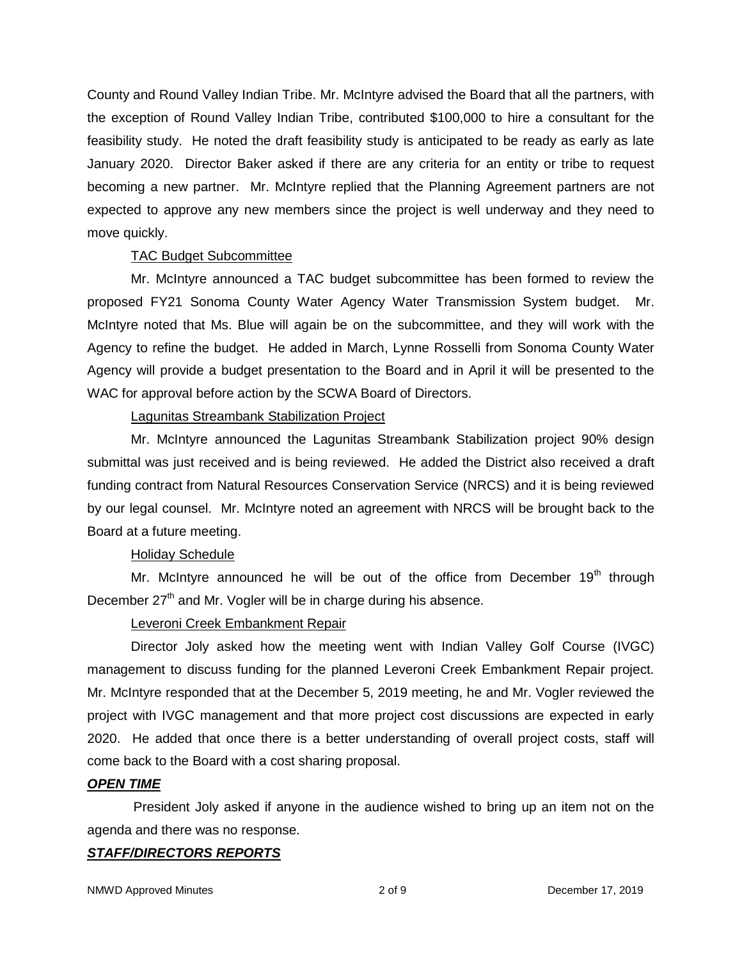County and Round Valley Indian Tribe. Mr. McIntyre advised the Board that all the partners, with the exception of Round Valley Indian Tribe, contributed \$100,000 to hire a consultant for the feasibility study. He noted the draft feasibility study is anticipated to be ready as early as late January 2020. Director Baker asked if there are any criteria for an entity or tribe to request becoming a new partner. Mr. McIntyre replied that the Planning Agreement partners are not expected to approve any new members since the project is well underway and they need to move quickly.

## TAC Budget Subcommittee

Mr. McIntyre announced a TAC budget subcommittee has been formed to review the proposed FY21 Sonoma County Water Agency Water Transmission System budget. Mr. McIntyre noted that Ms. Blue will again be on the subcommittee, and they will work with the Agency to refine the budget. He added in March, Lynne Rosselli from Sonoma County Water Agency will provide a budget presentation to the Board and in April it will be presented to the WAC for approval before action by the SCWA Board of Directors.

# Lagunitas Streambank Stabilization Project

Mr. McIntyre announced the Lagunitas Streambank Stabilization project 90% design submittal was just received and is being reviewed. He added the District also received a draft funding contract from Natural Resources Conservation Service (NRCS) and it is being reviewed by our legal counsel. Mr. McIntyre noted an agreement with NRCS will be brought back to the Board at a future meeting.

# Holiday Schedule

Mr. McIntyre announced he will be out of the office from December  $19<sup>th</sup>$  through December  $27<sup>th</sup>$  and Mr. Vogler will be in charge during his absence.

# Leveroni Creek Embankment Repair

Director Joly asked how the meeting went with Indian Valley Golf Course (IVGC) management to discuss funding for the planned Leveroni Creek Embankment Repair project. Mr. McIntyre responded that at the December 5, 2019 meeting, he and Mr. Vogler reviewed the project with IVGC management and that more project cost discussions are expected in early 2020. He added that once there is a better understanding of overall project costs, staff will come back to the Board with a cost sharing proposal.

## *OPEN TIME*

President Joly asked if anyone in the audience wished to bring up an item not on the agenda and there was no response.

## *STAFF/DIRECTORS REPORTS*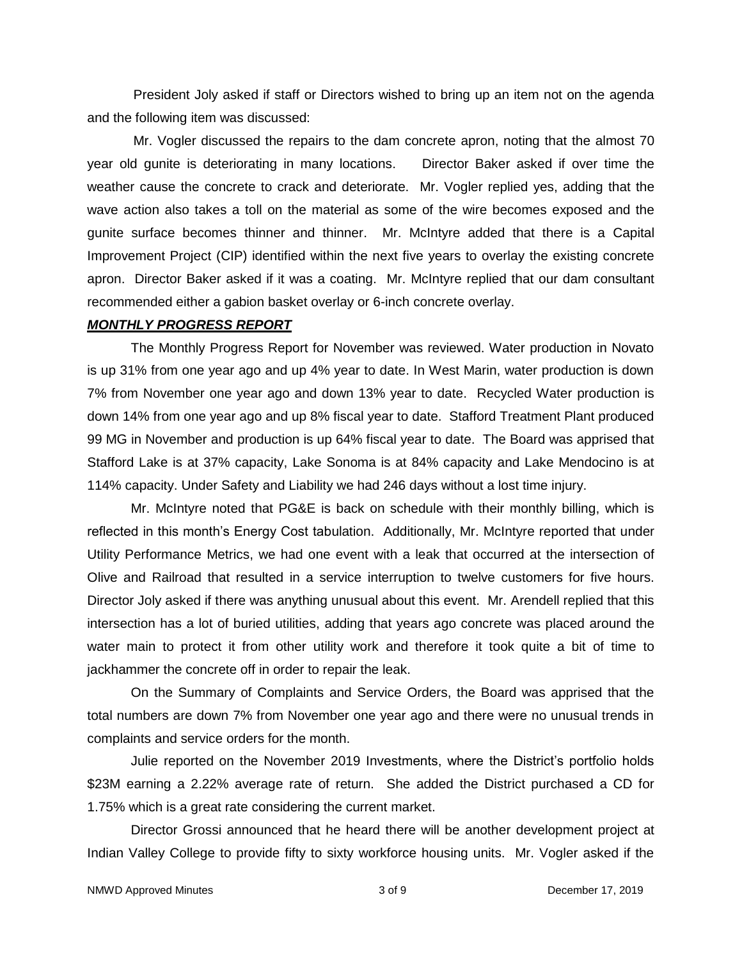President Joly asked if staff or Directors wished to bring up an item not on the agenda and the following item was discussed:

Mr. Vogler discussed the repairs to the dam concrete apron, noting that the almost 70 year old gunite is deteriorating in many locations. Director Baker asked if over time the weather cause the concrete to crack and deteriorate. Mr. Vogler replied yes, adding that the wave action also takes a toll on the material as some of the wire becomes exposed and the gunite surface becomes thinner and thinner. Mr. McIntyre added that there is a Capital Improvement Project (CIP) identified within the next five years to overlay the existing concrete apron. Director Baker asked if it was a coating. Mr. McIntyre replied that our dam consultant recommended either a gabion basket overlay or 6-inch concrete overlay.

#### *MONTHLY PROGRESS REPORT*

The Monthly Progress Report for November was reviewed. Water production in Novato is up 31% from one year ago and up 4% year to date. In West Marin, water production is down 7% from November one year ago and down 13% year to date. Recycled Water production is down 14% from one year ago and up 8% fiscal year to date. Stafford Treatment Plant produced 99 MG in November and production is up 64% fiscal year to date. The Board was apprised that Stafford Lake is at 37% capacity, Lake Sonoma is at 84% capacity and Lake Mendocino is at 114% capacity. Under Safety and Liability we had 246 days without a lost time injury.

Mr. McIntyre noted that PG&E is back on schedule with their monthly billing, which is reflected in this month's Energy Cost tabulation. Additionally, Mr. McIntyre reported that under Utility Performance Metrics, we had one event with a leak that occurred at the intersection of Olive and Railroad that resulted in a service interruption to twelve customers for five hours. Director Joly asked if there was anything unusual about this event. Mr. Arendell replied that this intersection has a lot of buried utilities, adding that years ago concrete was placed around the water main to protect it from other utility work and therefore it took quite a bit of time to jackhammer the concrete off in order to repair the leak.

On the Summary of Complaints and Service Orders, the Board was apprised that the total numbers are down 7% from November one year ago and there were no unusual trends in complaints and service orders for the month.

Julie reported on the November 2019 Investments, where the District's portfolio holds \$23M earning a 2.22% average rate of return. She added the District purchased a CD for 1.75% which is a great rate considering the current market.

Director Grossi announced that he heard there will be another development project at Indian Valley College to provide fifty to sixty workforce housing units. Mr. Vogler asked if the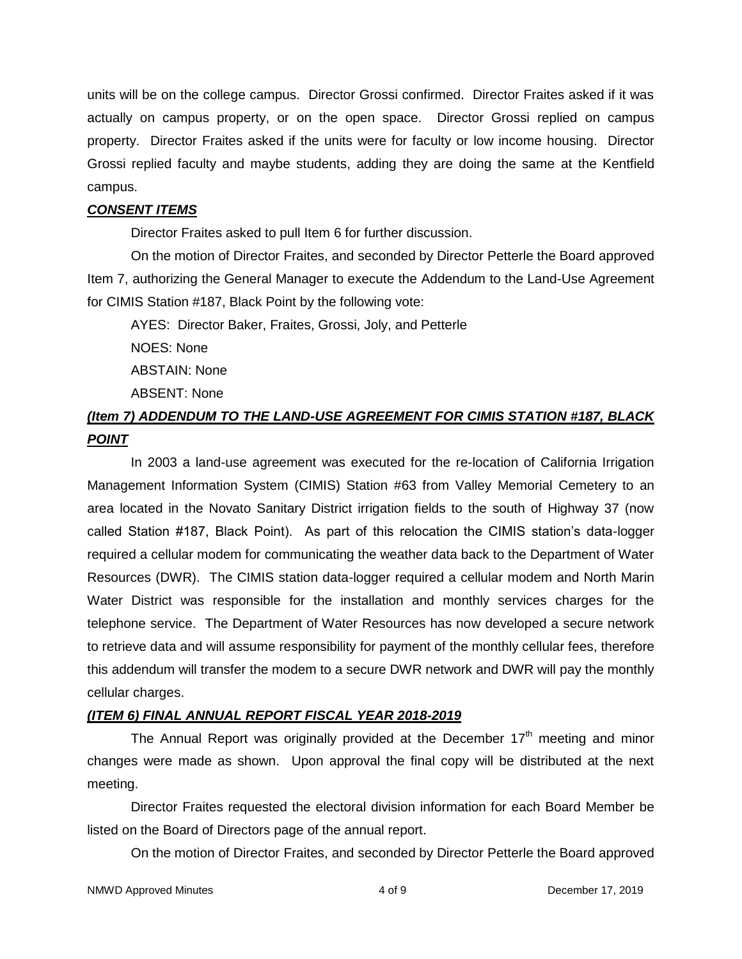units will be on the college campus. Director Grossi confirmed. Director Fraites asked if it was actually on campus property, or on the open space. Director Grossi replied on campus property. Director Fraites asked if the units were for faculty or low income housing. Director Grossi replied faculty and maybe students, adding they are doing the same at the Kentfield campus.

## *CONSENT ITEMS*

Director Fraites asked to pull Item 6 for further discussion.

On the motion of Director Fraites, and seconded by Director Petterle the Board approved Item 7, authorizing the General Manager to execute the Addendum to the Land-Use Agreement for CIMIS Station #187, Black Point by the following vote:

AYES: Director Baker, Fraites, Grossi, Joly, and Petterle

NOES: None

ABSTAIN: None

ABSENT: None

# *(Item 7) ADDENDUM TO THE LAND-USE AGREEMENT FOR CIMIS STATION #187, BLACK POINT*

In 2003 a land-use agreement was executed for the re-location of California Irrigation Management Information System (CIMIS) Station #63 from Valley Memorial Cemetery to an area located in the Novato Sanitary District irrigation fields to the south of Highway 37 (now called Station #187, Black Point). As part of this relocation the CIMIS station's data-logger required a cellular modem for communicating the weather data back to the Department of Water Resources (DWR). The CIMIS station data-logger required a cellular modem and North Marin Water District was responsible for the installation and monthly services charges for the telephone service. The Department of Water Resources has now developed a secure network to retrieve data and will assume responsibility for payment of the monthly cellular fees, therefore this addendum will transfer the modem to a secure DWR network and DWR will pay the monthly cellular charges.

# *(ITEM 6) FINAL ANNUAL REPORT FISCAL YEAR 2018-2019*

The Annual Report was originally provided at the December  $17<sup>th</sup>$  meeting and minor changes were made as shown. Upon approval the final copy will be distributed at the next meeting.

Director Fraites requested the electoral division information for each Board Member be listed on the Board of Directors page of the annual report.

On the motion of Director Fraites, and seconded by Director Petterle the Board approved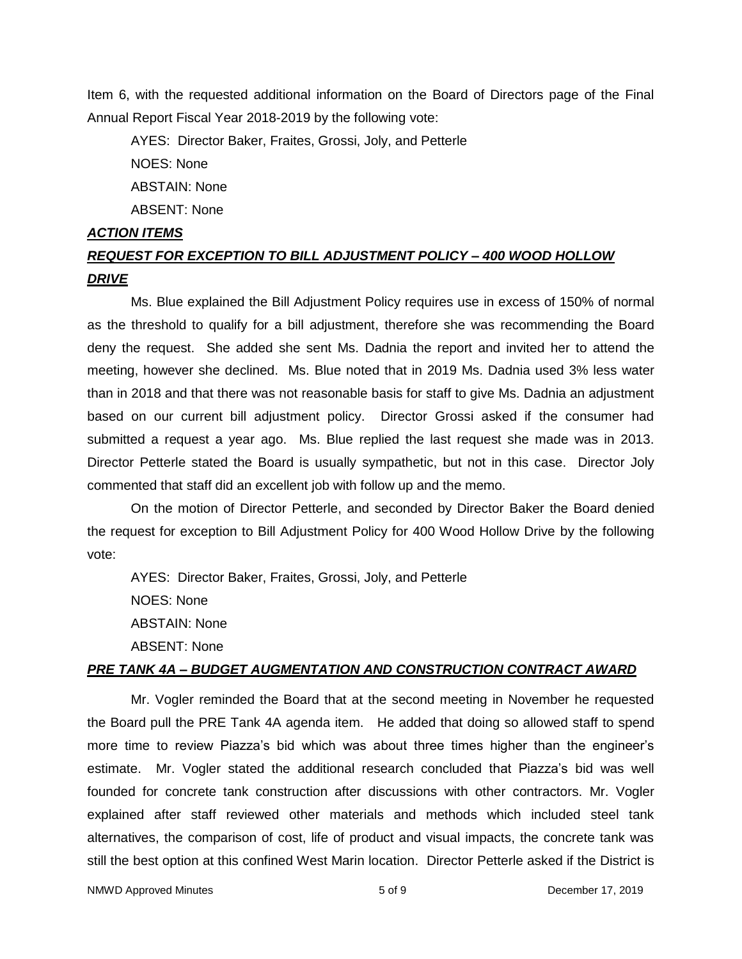Item 6, with the requested additional information on the Board of Directors page of the Final Annual Report Fiscal Year 2018-2019 by the following vote:

AYES: Director Baker, Fraites, Grossi, Joly, and Petterle NOES: None ABSTAIN: None ABSENT: None

#### *ACTION ITEMS*

# *REQUEST FOR EXCEPTION TO BILL ADJUSTMENT POLICY – 400 WOOD HOLLOW DRIVE*

Ms. Blue explained the Bill Adjustment Policy requires use in excess of 150% of normal as the threshold to qualify for a bill adjustment, therefore she was recommending the Board deny the request. She added she sent Ms. Dadnia the report and invited her to attend the meeting, however she declined. Ms. Blue noted that in 2019 Ms. Dadnia used 3% less water than in 2018 and that there was not reasonable basis for staff to give Ms. Dadnia an adjustment based on our current bill adjustment policy. Director Grossi asked if the consumer had submitted a request a year ago. Ms. Blue replied the last request she made was in 2013. Director Petterle stated the Board is usually sympathetic, but not in this case. Director Joly commented that staff did an excellent job with follow up and the memo.

On the motion of Director Petterle, and seconded by Director Baker the Board denied the request for exception to Bill Adjustment Policy for 400 Wood Hollow Drive by the following vote:

AYES: Director Baker, Fraites, Grossi, Joly, and Petterle NOES: None ABSTAIN: None ABSENT: None

## *PRE TANK 4A – BUDGET AUGMENTATION AND CONSTRUCTION CONTRACT AWARD*

Mr. Vogler reminded the Board that at the second meeting in November he requested the Board pull the PRE Tank 4A agenda item. He added that doing so allowed staff to spend more time to review Piazza's bid which was about three times higher than the engineer's estimate. Mr. Vogler stated the additional research concluded that Piazza's bid was well founded for concrete tank construction after discussions with other contractors. Mr. Vogler explained after staff reviewed other materials and methods which included steel tank alternatives, the comparison of cost, life of product and visual impacts, the concrete tank was still the best option at this confined West Marin location. Director Petterle asked if the District is

NMWD Approved Minutes and the state of the state of 5 of 9 December 17, 2019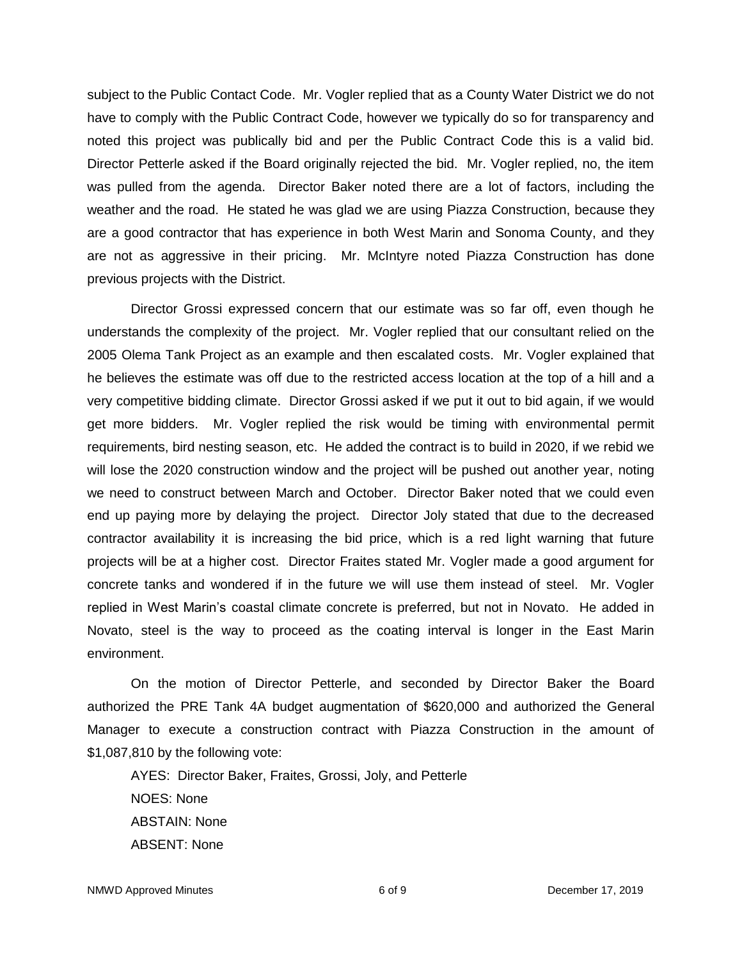subject to the Public Contact Code. Mr. Vogler replied that as a County Water District we do not have to comply with the Public Contract Code, however we typically do so for transparency and noted this project was publically bid and per the Public Contract Code this is a valid bid. Director Petterle asked if the Board originally rejected the bid. Mr. Vogler replied, no, the item was pulled from the agenda. Director Baker noted there are a lot of factors, including the weather and the road. He stated he was glad we are using Piazza Construction, because they are a good contractor that has experience in both West Marin and Sonoma County, and they are not as aggressive in their pricing. Mr. McIntyre noted Piazza Construction has done previous projects with the District.

Director Grossi expressed concern that our estimate was so far off, even though he understands the complexity of the project. Mr. Vogler replied that our consultant relied on the 2005 Olema Tank Project as an example and then escalated costs. Mr. Vogler explained that he believes the estimate was off due to the restricted access location at the top of a hill and a very competitive bidding climate. Director Grossi asked if we put it out to bid again, if we would get more bidders. Mr. Vogler replied the risk would be timing with environmental permit requirements, bird nesting season, etc. He added the contract is to build in 2020, if we rebid we will lose the 2020 construction window and the project will be pushed out another year, noting we need to construct between March and October. Director Baker noted that we could even end up paying more by delaying the project. Director Joly stated that due to the decreased contractor availability it is increasing the bid price, which is a red light warning that future projects will be at a higher cost. Director Fraites stated Mr. Vogler made a good argument for concrete tanks and wondered if in the future we will use them instead of steel. Mr. Vogler replied in West Marin's coastal climate concrete is preferred, but not in Novato. He added in Novato, steel is the way to proceed as the coating interval is longer in the East Marin environment.

On the motion of Director Petterle, and seconded by Director Baker the Board authorized the PRE Tank 4A budget augmentation of \$620,000 and authorized the General Manager to execute a construction contract with Piazza Construction in the amount of \$1,087,810 by the following vote:

AYES: Director Baker, Fraites, Grossi, Joly, and Petterle NOES: None ABSTAIN: None ABSENT: None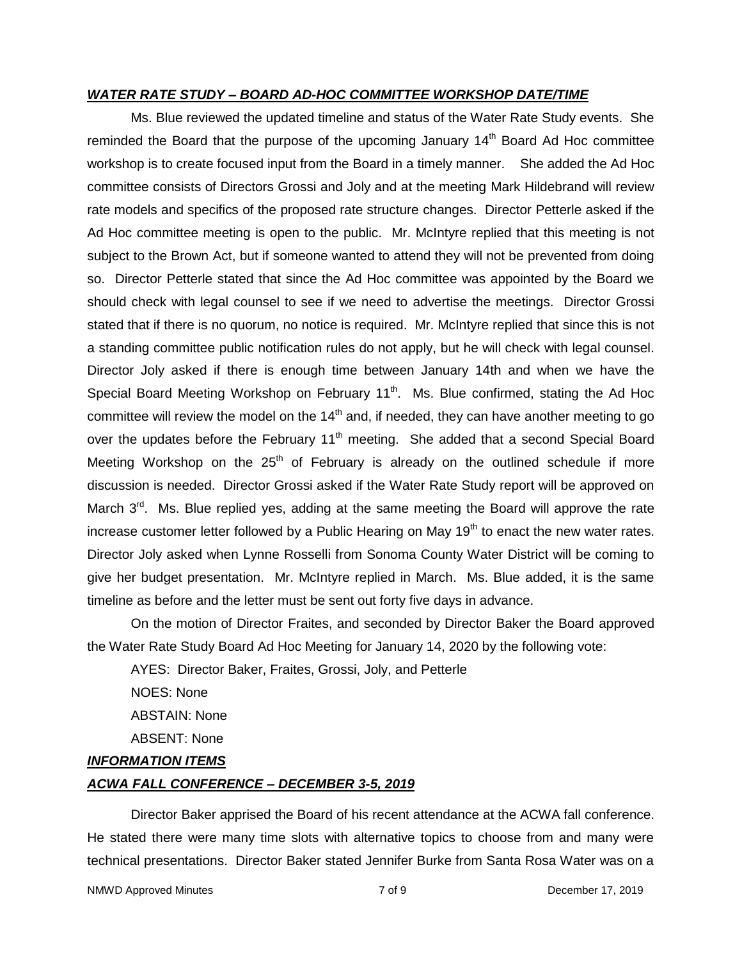### *WATER RATE STUDY – BOARD AD-HOC COMMITTEE WORKSHOP DATE/TIME*

Ms. Blue reviewed the updated timeline and status of the Water Rate Study events. She reminded the Board that the purpose of the upcoming January  $14<sup>th</sup>$  Board Ad Hoc committee workshop is to create focused input from the Board in a timely manner. She added the Ad Hoc committee consists of Directors Grossi and Joly and at the meeting Mark Hildebrand will review rate models and specifics of the proposed rate structure changes. Director Petterle asked if the Ad Hoc committee meeting is open to the public. Mr. McIntyre replied that this meeting is not subject to the Brown Act, but if someone wanted to attend they will not be prevented from doing so. Director Petterle stated that since the Ad Hoc committee was appointed by the Board we should check with legal counsel to see if we need to advertise the meetings. Director Grossi stated that if there is no quorum, no notice is required. Mr. McIntyre replied that since this is not a standing committee public notification rules do not apply, but he will check with legal counsel. Director Joly asked if there is enough time between January 14th and when we have the Special Board Meeting Workshop on February 11<sup>th</sup>. Ms. Blue confirmed, stating the Ad Hoc committee will review the model on the  $14<sup>th</sup>$  and, if needed, they can have another meeting to go over the updates before the February  $11<sup>th</sup>$  meeting. She added that a second Special Board Meeting Workshop on the  $25<sup>th</sup>$  of February is already on the outlined schedule if more discussion is needed. Director Grossi asked if the Water Rate Study report will be approved on March 3<sup>rd</sup>. Ms. Blue replied yes, adding at the same meeting the Board will approve the rate increase customer letter followed by a Public Hearing on May  $19<sup>th</sup>$  to enact the new water rates. Director Joly asked when Lynne Rosselli from Sonoma County Water District will be coming to give her budget presentation. Mr. McIntyre replied in March. Ms. Blue added, it is the same timeline as before and the letter must be sent out forty five days in advance.

On the motion of Director Fraites, and seconded by Director Baker the Board approved the Water Rate Study Board Ad Hoc Meeting for January 14, 2020 by the following vote:

AYES: Director Baker, Fraites, Grossi, Joly, and Petterle

NOES: None ABSTAIN: None

ABSENT: None

### *INFORMATION ITEMS*

## *ACWA FALL CONFERENCE – DECEMBER 3-5, 2019*

Director Baker apprised the Board of his recent attendance at the ACWA fall conference. He stated there were many time slots with alternative topics to choose from and many were technical presentations. Director Baker stated Jennifer Burke from Santa Rosa Water was on a

NMWD Approved Minutes and the control of 9 and 7 of 9 December 17, 2019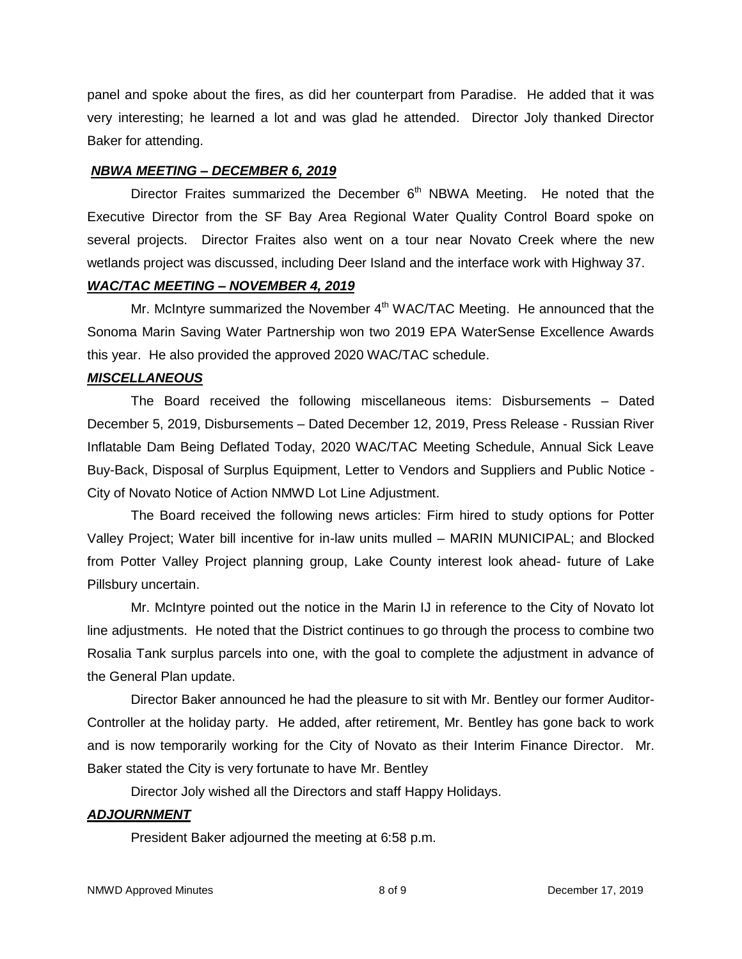panel and spoke about the fires, as did her counterpart from Paradise. He added that it was very interesting; he learned a lot and was glad he attended. Director Joly thanked Director Baker for attending.

## *NBWA MEETING – DECEMBER 6, 2019*

Director Fraites summarized the December  $6<sup>th</sup>$  NBWA Meeting. He noted that the Executive Director from the SF Bay Area Regional Water Quality Control Board spoke on several projects. Director Fraites also went on a tour near Novato Creek where the new wetlands project was discussed, including Deer Island and the interface work with Highway 37.

## *WAC/TAC MEETING – NOVEMBER 4, 2019*

Mr. McIntyre summarized the November  $4<sup>th</sup>$  WAC/TAC Meeting. He announced that the Sonoma Marin Saving Water Partnership won two 2019 EPA WaterSense Excellence Awards this year. He also provided the approved 2020 WAC/TAC schedule.

## *MISCELLANEOUS*

The Board received the following miscellaneous items: Disbursements – Dated December 5, 2019, Disbursements – Dated December 12, 2019, Press Release - Russian River Inflatable Dam Being Deflated Today, 2020 WAC/TAC Meeting Schedule, Annual Sick Leave Buy-Back, Disposal of Surplus Equipment, Letter to Vendors and Suppliers and Public Notice - City of Novato Notice of Action NMWD Lot Line Adjustment.

The Board received the following news articles: Firm hired to study options for Potter Valley Project; Water bill incentive for in-law units mulled – MARIN MUNICIPAL; and Blocked from Potter Valley Project planning group, Lake County interest look ahead- future of Lake Pillsbury uncertain.

Mr. McIntyre pointed out the notice in the Marin IJ in reference to the City of Novato lot line adjustments. He noted that the District continues to go through the process to combine two Rosalia Tank surplus parcels into one, with the goal to complete the adjustment in advance of the General Plan update.

Director Baker announced he had the pleasure to sit with Mr. Bentley our former Auditor-Controller at the holiday party. He added, after retirement, Mr. Bentley has gone back to work and is now temporarily working for the City of Novato as their Interim Finance Director. Mr. Baker stated the City is very fortunate to have Mr. Bentley

Director Joly wished all the Directors and staff Happy Holidays.

# *ADJOURNMENT*

President Baker adjourned the meeting at 6:58 p.m.